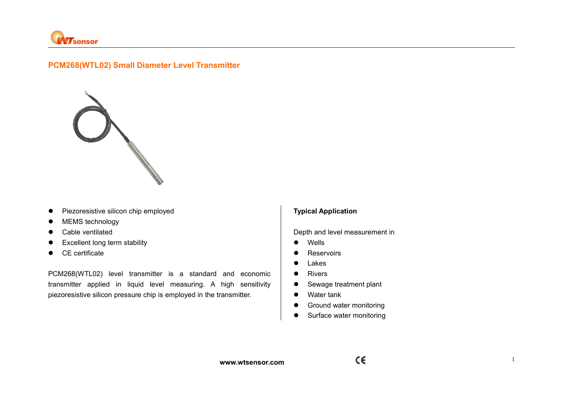

# **PCM268(WTL02) Small Diameter Level Transmitter**



- **•** Piezoresistive silicon chip employed
- MEMS technology
- Cable ventilated
- **•** Excellent long term stability
- CE certificate

PCM268(WTL02) level transmitter is a standard and economic transmitter applied in liquid level measuring. A high sensitivity  $\vert \bullet \vert$ piezoresistive silicon pressure chip is employed in the transmitter.

### **Typical Application**

Depth and level measurement in

- Wells
- **•** Reservoirs
- **•** Lakes
- Rivers
- Sewage treatment plant
- Water tank
- **•** Ground water monitoring
- Surface water monitoring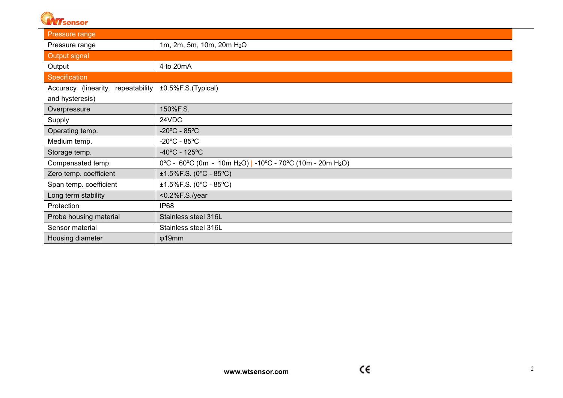

| Pressure range                     |                                                                                    |  |
|------------------------------------|------------------------------------------------------------------------------------|--|
| Pressure range                     | 1m, 2m, 5m, 10m, 20m H <sub>2</sub> O                                              |  |
| Output signal                      |                                                                                    |  |
| Output                             | 4 to 20mA                                                                          |  |
| Specification                      |                                                                                    |  |
| Accuracy (linearity, repeatability | ±0.5%F.S.(Typical)                                                                 |  |
| and hysteresis)                    |                                                                                    |  |
| Overpressure                       | 150%F.S.                                                                           |  |
| Supply                             | 24VDC                                                                              |  |
| Operating temp.                    | $-20^{\circ}$ C - 85 $^{\circ}$ C                                                  |  |
| Medium temp.                       | $-20^{\circ}$ C - 85 $^{\circ}$ C                                                  |  |
| Storage temp.                      | $-40^{\circ}$ C - 125 $^{\circ}$ C                                                 |  |
| Compensated temp.                  | 0°C - 60°C (0m - 10m H <sub>2</sub> O)   -10°C - 70°C (10m - 20m H <sub>2</sub> O) |  |
| Zero temp. coefficient             | $±1.5\%$ F.S. (0°C - 85°C)                                                         |  |
| Span temp. coefficient             | $±1.5\%$ F.S. (0°C - 85°C)                                                         |  |
| Long term stability                | <0.2%F.S./year                                                                     |  |
| Protection                         | IP <sub>68</sub>                                                                   |  |
| Probe housing material             | Stainless steel 316L                                                               |  |
| Sensor material                    | Stainless steel 316L                                                               |  |
| Housing diameter                   | $\phi$ 19mm                                                                        |  |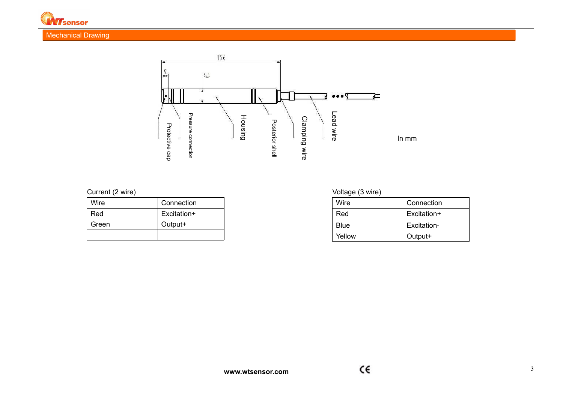

## Mechanical Drawing



| Wire  | Connection  |
|-------|-------------|
| Red   | Excitation+ |
| Green | Output+     |
|       |             |

# Current (2 wire) Current (2 wire)

| Wire   | Connection  |
|--------|-------------|
| Red    | Excitation+ |
| Blue   | Excitation- |
| Yellow | Output+     |